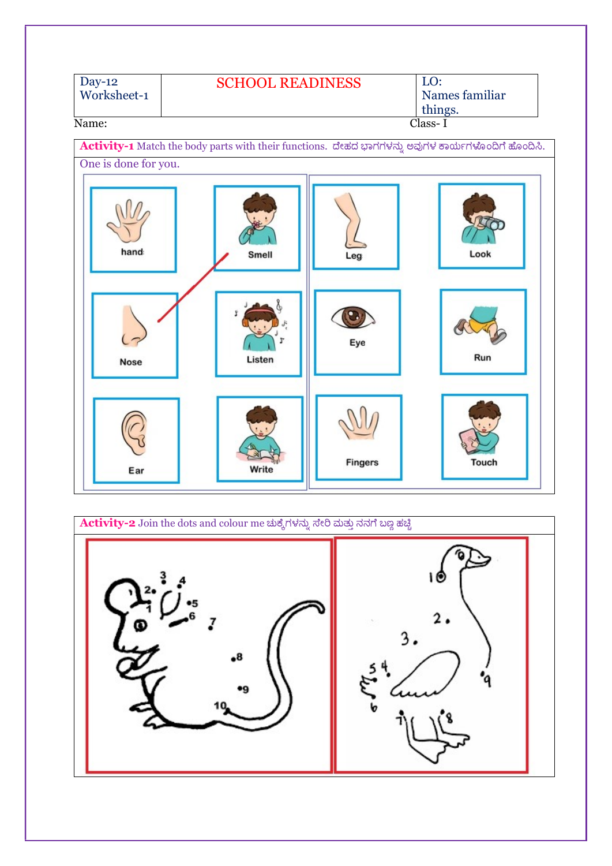

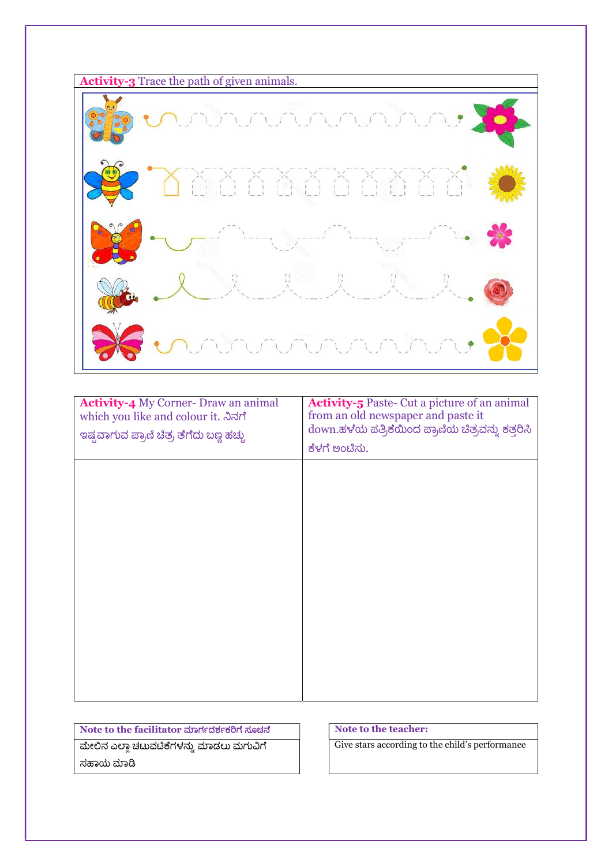

| <b>Activity-4</b> My Corner-Draw an animal<br>which you like and colour it. ನಿನಗೆ<br>ಇಷ್ಟವಾಗುವ ಪ್ರಾಣಿ ಚಿತ್ರ ತೆಗೆದು ಬಣ್ಣ ಹಚ್ಚು | <b>Activity-5</b> Paste- Cut a picture of an animal<br>from an old newspaper and paste it<br>down.ಹಳೆಯ ಪತ್ರಿಕೆಯಿಂದ ಪ್ರಾಣಿಯ ಚಿತ್ರವನ್ನು ಕತ್ತರಿಸಿ<br>ಕೆಳಗೆ ಅಂಟಿಸು. |
|-------------------------------------------------------------------------------------------------------------------------------|-----------------------------------------------------------------------------------------------------------------------------------------------------------------|
|                                                                                                                               |                                                                                                                                                                 |
|                                                                                                                               |                                                                                                                                                                 |
|                                                                                                                               |                                                                                                                                                                 |
|                                                                                                                               |                                                                                                                                                                 |

Note to the facilitator ಮಾರ್ಗದರ್ಶಕರಿಗೆ ಸೂಚನೆ ಮೇಲಿನ ಎಲ್ಲಾ ಚಟುವಟಿಕೆಗಳನ್ನು ಮಾಡಲು ಮಗುವಿಗೆ ಸಹಾಯ ಮಾಡಿ

Note to the teacher:

Give stars according to the child's performance